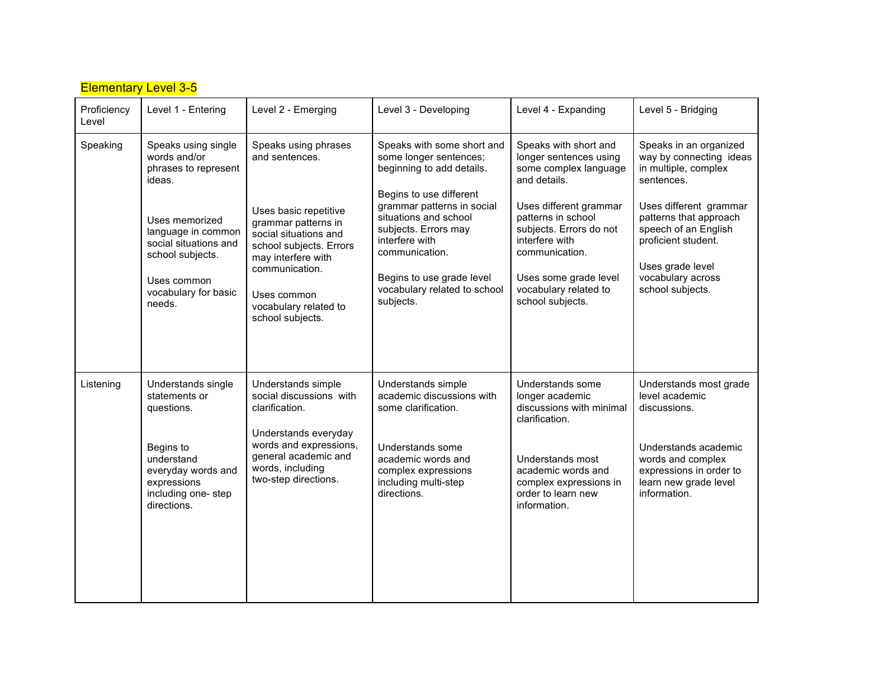| <b>Elementary Level 3-5</b> |                                                                                                                                                                                                             |                                                                                                                                                                                                                                                |                                                                                                                                                                                                                                                                                                           |                                                                                                                                                                                                                                                                               |                                                                                                                                                                                                                                                         |  |  |  |  |
|-----------------------------|-------------------------------------------------------------------------------------------------------------------------------------------------------------------------------------------------------------|------------------------------------------------------------------------------------------------------------------------------------------------------------------------------------------------------------------------------------------------|-----------------------------------------------------------------------------------------------------------------------------------------------------------------------------------------------------------------------------------------------------------------------------------------------------------|-------------------------------------------------------------------------------------------------------------------------------------------------------------------------------------------------------------------------------------------------------------------------------|---------------------------------------------------------------------------------------------------------------------------------------------------------------------------------------------------------------------------------------------------------|--|--|--|--|
| Proficiency<br>Level        | Level 1 - Entering                                                                                                                                                                                          | Level 2 - Emerging                                                                                                                                                                                                                             | Level 3 - Developing                                                                                                                                                                                                                                                                                      | Level 4 - Expanding                                                                                                                                                                                                                                                           | Level 5 - Bridging                                                                                                                                                                                                                                      |  |  |  |  |
| Speaking                    | Speaks using single<br>words and/or<br>phrases to represent<br>ideas.<br>Uses memorized<br>language in common<br>social situations and<br>school subjects.<br>Uses common<br>vocabulary for basic<br>needs. | Speaks using phrases<br>and sentences.<br>Uses basic repetitive<br>grammar patterns in<br>social situations and<br>school subjects. Errors<br>may interfere with<br>communication.<br>Uses common<br>vocabulary related to<br>school subjects. | Speaks with some short and<br>some longer sentences;<br>beginning to add details.<br>Begins to use different<br>grammar patterns in social<br>situations and school<br>subjects. Errors may<br>interfere with<br>communication.<br>Begins to use grade level<br>vocabulary related to school<br>subjects. | Speaks with short and<br>longer sentences using<br>some complex language<br>and details.<br>Uses different grammar<br>patterns in school<br>subjects. Errors do not<br>interfere with<br>communication.<br>Uses some grade level<br>vocabulary related to<br>school subjects. | Speaks in an organized<br>way by connecting ideas<br>in multiple, complex<br>sentences.<br>Uses different grammar<br>patterns that approach<br>speech of an English<br>proficient student.<br>Uses grade level<br>vocabulary across<br>school subjects. |  |  |  |  |
| Listening                   | Understands single<br>statements or<br>questions.<br>Begins to<br>understand<br>everyday words and<br>expressions<br>including one-step<br>directions.                                                      | Understands simple<br>social discussions with<br>clarification.<br>Understands everyday<br>words and expressions,<br>general academic and<br>words, including<br>two-step directions.                                                          | Understands simple<br>academic discussions with<br>some clarification.<br>Understands some<br>academic words and<br>complex expressions<br>including multi-step<br>directions.                                                                                                                            | Understands some<br>longer academic<br>discussions with minimal<br>clarification.<br>Understands most<br>academic words and<br>complex expressions in<br>order to learn new<br>information.                                                                                   | Understands most grade<br>level academic<br>discussions.<br>Understands academic<br>words and complex<br>expressions in order to<br>learn new grade level<br>information.                                                                               |  |  |  |  |